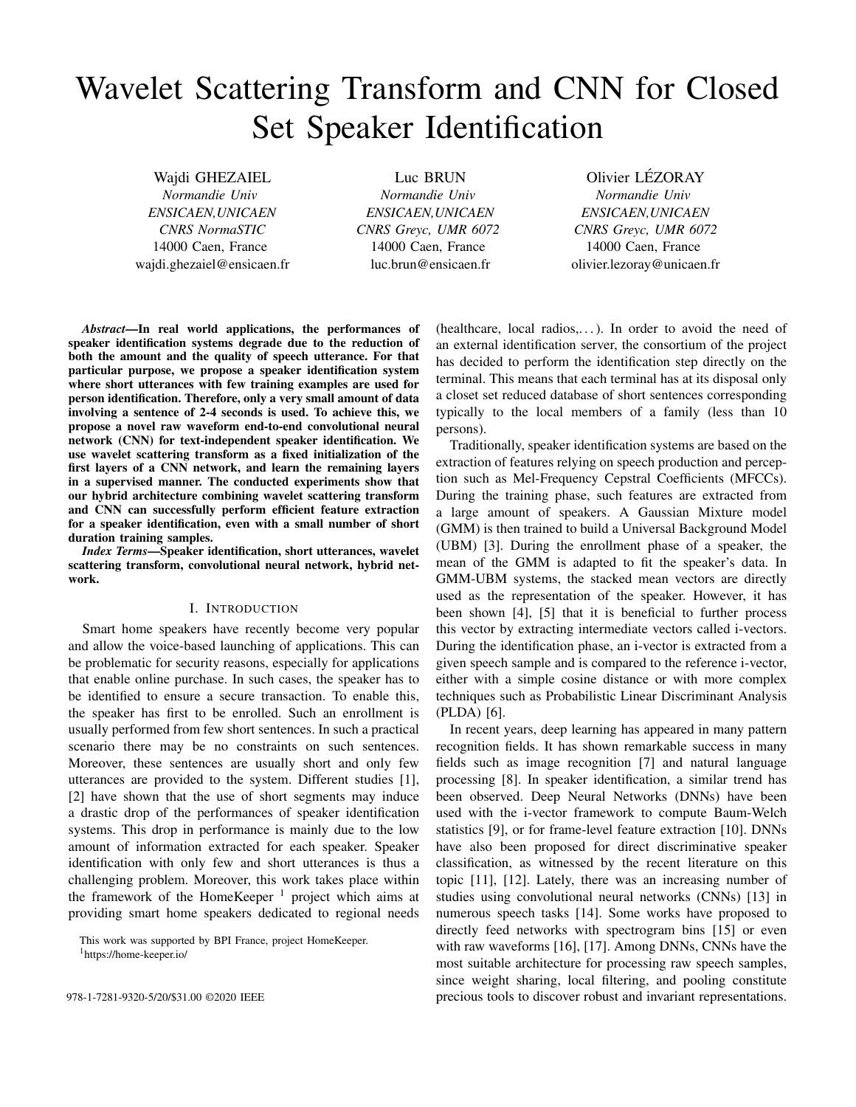# Wavelet Scattering Transform and CNN for Closed Set Speaker Identification

Wajdi GHEZAIEL *Normandie Univ ENSICAEN,UNICAEN CNRS NormaSTIC* 14000 Caen, France wajdi.ghezaiel@ensicaen.fr Luc BRUN

*Normandie Univ ENSICAEN,UNICAEN CNRS Greyc, UMR 6072* 14000 Caen, France luc.brun@ensicaen.fr

Olivier LÉZORAY *Normandie Univ ENSICAEN,UNICAEN CNRS Greyc, UMR 6072* 14000 Caen, France olivier.lezoray@unicaen.fr

*Abstract*—In real world applications, the performances of speaker identification systems degrade due to the reduction of both the amount and the quality of speech utterance. For that particular purpose, we propose a speaker identification system where short utterances with few training examples are used for person identification. Therefore, only a very small amount of data involving a sentence of 2-4 seconds is used. To achieve this, we propose a novel raw waveform end-to-end convolutional neural network (CNN) for text-independent speaker identification. We use wavelet scattering transform as a fixed initialization of the first layers of a CNN network, and learn the remaining layers in a supervised manner. The conducted experiments show that our hybrid architecture combining wavelet scattering transform and CNN can successfully perform efficient feature extraction for a speaker identification, even with a small number of short duration training samples.

*Index Terms*—Speaker identification, short utterances, wavelet scattering transform, convolutional neural network, hybrid network.

# I. INTRODUCTION

Smart home speakers have recently become very popular and allow the voice-based launching of applications. This can be problematic for security reasons, especially for applications that enable online purchase. In such cases, the speaker has to be identified to ensure a secure transaction. To enable this, the speaker has first to be enrolled. Such an enrollment is usually performed from few short sentences. In such a practical scenario there may be no constraints on such sentences. Moreover, these sentences are usually short and only few utterances are provided to the system. Different studies [1], [2] have shown that the use of short segments may induce a drastic drop of the performances of speaker identification systems. This drop in performance is mainly due to the low amount of information extracted for each speaker. Speaker identification with only few and short utterances is thus a challenging problem. Moreover, this work takes place within the framework of the HomeKeeper<sup>1</sup> project which aims at providing smart home speakers dedicated to regional needs

This work was supported by BPI France, project HomeKeeper. <sup>1</sup>https://home-keeper.io/

(healthcare, local radios,. . . ). In order to avoid the need of an external identification server, the consortium of the project has decided to perform the identification step directly on the terminal. This means that each terminal has at its disposal only a closet set reduced database of short sentences corresponding typically to the local members of a family (less than 10 persons).

Traditionally, speaker identification systems are based on the extraction of features relying on speech production and perception such as Mel-Frequency Cepstral Coefficients (MFCCs). During the training phase, such features are extracted from a large amount of speakers. A Gaussian Mixture model (GMM) is then trained to build a Universal Background Model (UBM) [3]. During the enrollment phase of a speaker, the mean of the GMM is adapted to fit the speaker's data. In GMM-UBM systems, the stacked mean vectors are directly used as the representation of the speaker. However, it has been shown [4], [5] that it is beneficial to further process this vector by extracting intermediate vectors called i-vectors. During the identification phase, an i-vector is extracted from a given speech sample and is compared to the reference i-vector, either with a simple cosine distance or with more complex techniques such as Probabilistic Linear Discriminant Analysis (PLDA) [6].

In recent years, deep learning has appeared in many pattern recognition fields. It has shown remarkable success in many fields such as image recognition [7] and natural language processing [8]. In speaker identification, a similar trend has been observed. Deep Neural Networks (DNNs) have been used with the i-vector framework to compute Baum-Welch statistics [9], or for frame-level feature extraction [10]. DNNs have also been proposed for direct discriminative speaker classification, as witnessed by the recent literature on this topic [11], [12]. Lately, there was an increasing number of studies using convolutional neural networks (CNNs) [13] in numerous speech tasks [14]. Some works have proposed to directly feed networks with spectrogram bins [15] or even with raw waveforms [16], [17]. Among DNNs, CNNs have the most suitable architecture for processing raw speech samples, since weight sharing, local filtering, and pooling constitute 978-1-7281-9320-5/20/\$31.00 ©2020 IEEE precious tools to discover robust and invariant representations.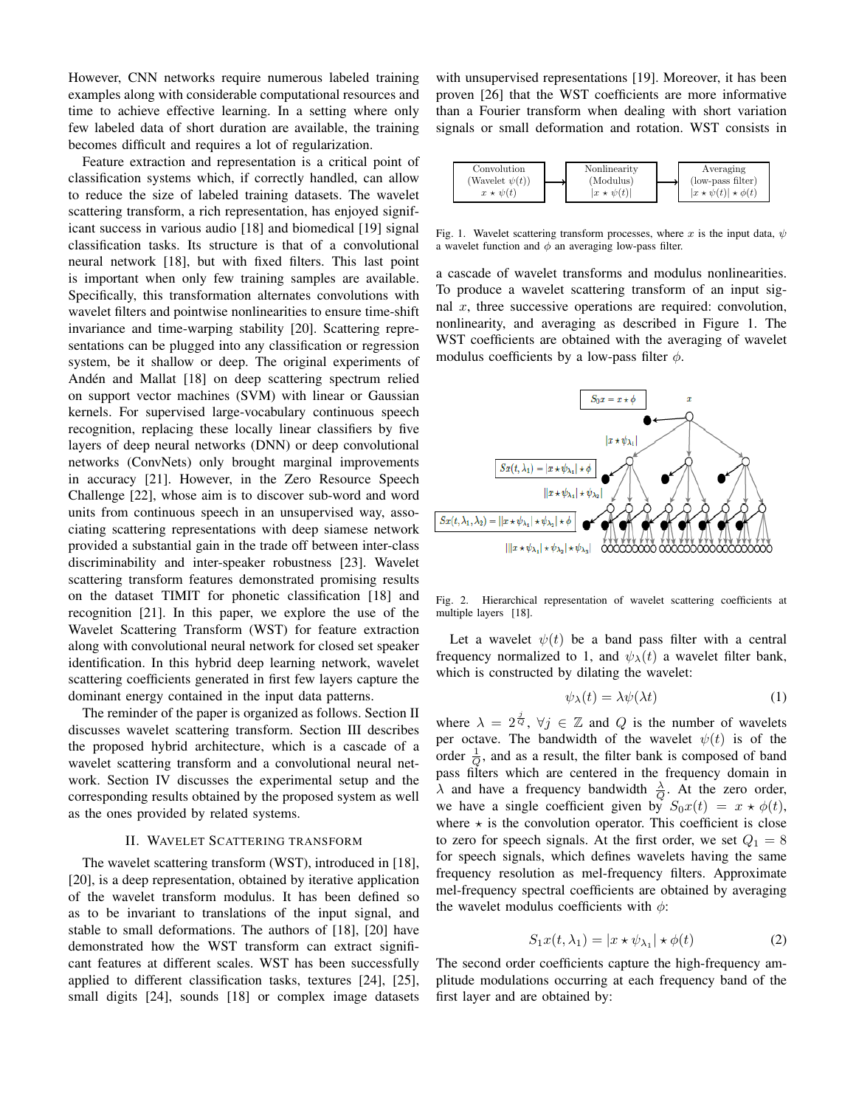However, CNN networks require numerous labeled training examples along with considerable computational resources and time to achieve effective learning. In a setting where only few labeled data of short duration are available, the training becomes difficult and requires a lot of regularization.

Feature extraction and representation is a critical point of classification systems which, if correctly handled, can allow to reduce the size of labeled training datasets. The wavelet scattering transform, a rich representation, has enjoyed significant success in various audio [18] and biomedical [19] signal classification tasks. Its structure is that of a convolutional neural network [18], but with fixed filters. This last point is important when only few training samples are available. Specifically, this transformation alternates convolutions with wavelet filters and pointwise nonlinearities to ensure time-shift invariance and time-warping stability [20]. Scattering representations can be plugged into any classification or regression system, be it shallow or deep. The original experiments of Andén and Mallat [18] on deep scattering spectrum relied on support vector machines (SVM) with linear or Gaussian kernels. For supervised large-vocabulary continuous speech recognition, replacing these locally linear classifiers by five layers of deep neural networks (DNN) or deep convolutional networks (ConvNets) only brought marginal improvements in accuracy [21]. However, in the Zero Resource Speech Challenge [22], whose aim is to discover sub-word and word units from continuous speech in an unsupervised way, associating scattering representations with deep siamese network provided a substantial gain in the trade off between inter-class discriminability and inter-speaker robustness [23]. Wavelet scattering transform features demonstrated promising results on the dataset TIMIT for phonetic classification [18] and recognition [21]. In this paper, we explore the use of the Wavelet Scattering Transform (WST) for feature extraction along with convolutional neural network for closed set speaker identification. In this hybrid deep learning network, wavelet scattering coefficients generated in first few layers capture the dominant energy contained in the input data patterns.

The reminder of the paper is organized as follows. Section II discusses wavelet scattering transform. Section III describes the proposed hybrid architecture, which is a cascade of a wavelet scattering transform and a convolutional neural network. Section IV discusses the experimental setup and the corresponding results obtained by the proposed system as well as the ones provided by related systems.

#### II. WAVELET SCATTERING TRANSFORM

The wavelet scattering transform (WST), introduced in [18], [20], is a deep representation, obtained by iterative application of the wavelet transform modulus. It has been defined so as to be invariant to translations of the input signal, and stable to small deformations. The authors of [18], [20] have demonstrated how the WST transform can extract significant features at different scales. WST has been successfully applied to different classification tasks, textures [24], [25], small digits [24], sounds [18] or complex image datasets

with unsupervised representations [19]. Moreover, it has been proven [26] that the WST coefficients are more informative than a Fourier transform when dealing with short variation signals or small deformation and rotation. WST consists in



Fig. 1. Wavelet scattering transform processes, where x is the input data,  $\psi$ a wavelet function and  $\phi$  an averaging low-pass filter.

a cascade of wavelet transforms and modulus nonlinearities. To produce a wavelet scattering transform of an input signal  $x$ , three successive operations are required: convolution, nonlinearity, and averaging as described in Figure 1. The WST coefficients are obtained with the averaging of wavelet modulus coefficients by a low-pass filter  $\phi$ .



Fig. 2. Hierarchical representation of wavelet scattering coefficients at multiple layers [18].

Let a wavelet  $\psi(t)$  be a band pass filter with a central frequency normalized to 1, and  $\psi_{\lambda}(t)$  a wavelet filter bank, which is constructed by dilating the wavelet:

$$
\psi_{\lambda}(t) = \lambda \psi(\lambda t) \tag{1}
$$

where  $\lambda = 2^{\frac{j}{Q}}$ ,  $\forall j \in \mathbb{Z}$  and Q is the number of wavelets per octave. The bandwidth of the wavelet  $\psi(t)$  is of the order  $\frac{1}{Q}$ , and as a result, the filter bank is composed of band pass filters which are centered in the frequency domain in  $\lambda$  and have a frequency bandwidth  $\frac{\lambda}{Q}$ . At the zero order, we have a single coefficient given by  $S_0x(t) = x \star \phi(t)$ , where  $\star$  is the convolution operator. This coefficient is close to zero for speech signals. At the first order, we set  $Q_1 = 8$ for speech signals, which defines wavelets having the same frequency resolution as mel-frequency filters. Approximate mel-frequency spectral coefficients are obtained by averaging the wavelet modulus coefficients with  $\phi$ :

$$
S_1 x(t, \lambda_1) = |x \star \psi_{\lambda_1}| \star \phi(t)
$$
 (2)

The second order coefficients capture the high-frequency amplitude modulations occurring at each frequency band of the first layer and are obtained by: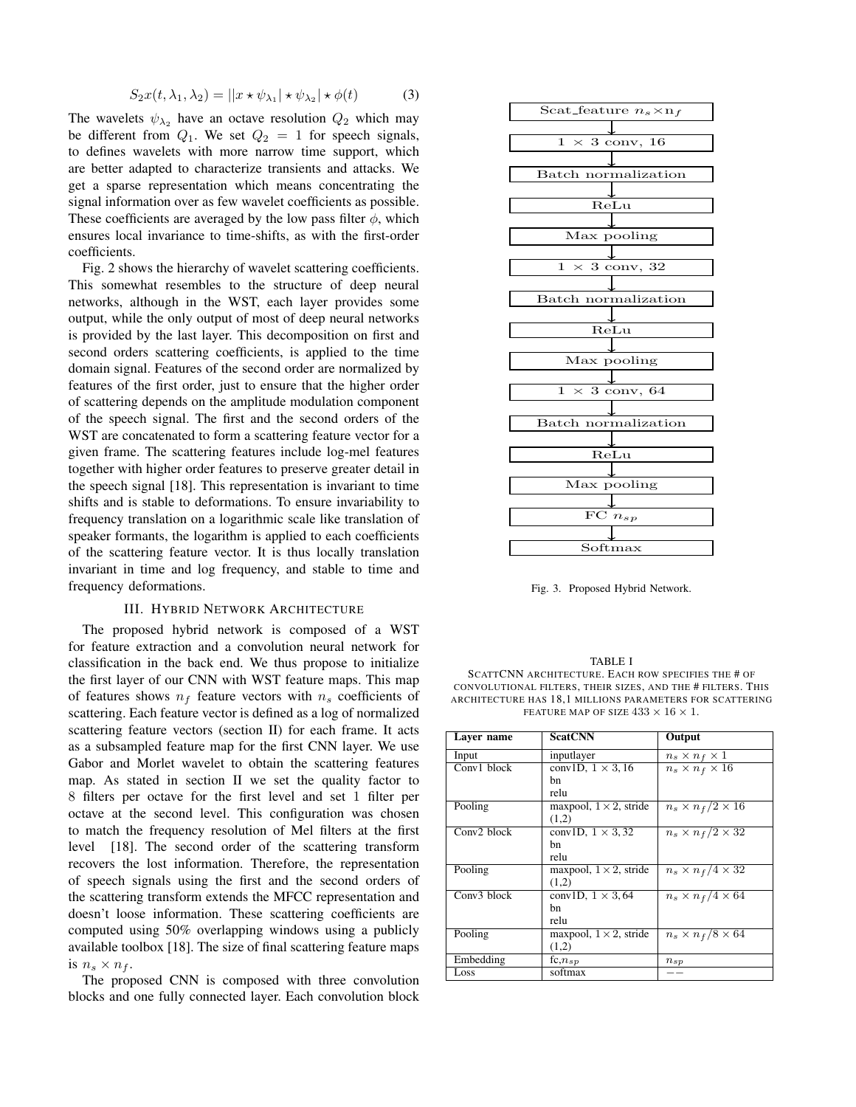$$
S_2x(t, \lambda_1, \lambda_2) = ||x \star \psi_{\lambda_1}| \star \psi_{\lambda_2}| \star \phi(t)
$$
 (3)

The wavelets  $\psi_{\lambda_2}$  have an octave resolution  $Q_2$  which may be different from  $Q_1$ . We set  $Q_2 = 1$  for speech signals, to defines wavelets with more narrow time support, which are better adapted to characterize transients and attacks. We get a sparse representation which means concentrating the signal information over as few wavelet coefficients as possible. These coefficients are averaged by the low pass filter  $\phi$ , which ensures local invariance to time-shifts, as with the first-order coefficients.

Fig. 2 shows the hierarchy of wavelet scattering coefficients. This somewhat resembles to the structure of deep neural networks, although in the WST, each layer provides some output, while the only output of most of deep neural networks is provided by the last layer. This decomposition on first and second orders scattering coefficients, is applied to the time domain signal. Features of the second order are normalized by features of the first order, just to ensure that the higher order of scattering depends on the amplitude modulation component of the speech signal. The first and the second orders of the WST are concatenated to form a scattering feature vector for a given frame. The scattering features include log-mel features together with higher order features to preserve greater detail in the speech signal [18]. This representation is invariant to time shifts and is stable to deformations. To ensure invariability to frequency translation on a logarithmic scale like translation of speaker formants, the logarithm is applied to each coefficients of the scattering feature vector. It is thus locally translation invariant in time and log frequency, and stable to time and frequency deformations.

#### III. HYBRID NETWORK ARCHITECTURE

The proposed hybrid network is composed of a WST for feature extraction and a convolution neural network for classification in the back end. We thus propose to initialize the first layer of our CNN with WST feature maps. This map of features shows  $n_f$  feature vectors with  $n_s$  coefficients of scattering. Each feature vector is defined as a log of normalized scattering feature vectors (section II) for each frame. It acts as a subsampled feature map for the first CNN layer. We use Gabor and Morlet wavelet to obtain the scattering features map. As stated in section II we set the quality factor to 8 filters per octave for the first level and set 1 filter per octave at the second level. This configuration was chosen to match the frequency resolution of Mel filters at the first level [18]. The second order of the scattering transform recovers the lost information. Therefore, the representation of speech signals using the first and the second orders of the scattering transform extends the MFCC representation and doesn't loose information. These scattering coefficients are computed using 50% overlapping windows using a publicly available toolbox [18]. The size of final scattering feature maps is  $n_s \times n_f$ .

The proposed CNN is composed with three convolution blocks and one fully connected layer. Each convolution block



Fig. 3. Proposed Hybrid Network.

TABLE I SCATTCNN ARCHITECTURE. EACH ROW SPECIFIES THE # OF CONVOLUTIONAL FILTERS, THEIR SIZES, AND THE # FILTERS. THIS ARCHITECTURE HAS 18,1 MILLIONS PARAMETERS FOR SCATTERING FEATURE MAP OF SIZE  $433 \times 16 \times 1.$ 

| Laver name    | <b>ScatCNN</b>                 | Output                       |
|---------------|--------------------------------|------------------------------|
| Input         | inputlayer                     | $n_s \times n_f \times 1$    |
| Conv1 block   | conv1D, $1 \times 3$ , 16      | $n_s \times n_f \times 16$   |
|               | hn                             |                              |
|               | relu                           |                              |
| Pooling       | maxpool, $1 \times 2$ , stride | $n_s \times n_f/2 \times 16$ |
|               | (1,2)                          |                              |
| $Conv2$ block | conv1D, $1 \times 3,32$        | $n_s \times n_f/2 \times 32$ |
|               | bn                             |                              |
|               | relu                           |                              |
| Pooling       | maxpool, $1 \times 2$ , stride | $n_s \times n_f/4 \times 32$ |
|               | (1,2)                          |                              |
| Conv3 block   | conv1D, $1 \times 3,64$        | $n_s \times n_f/4 \times 64$ |
|               | hn                             |                              |
|               | relu                           |                              |
| Pooling       | maxpool, $1 \times 2$ , stride | $n_s \times n_f/8 \times 64$ |
|               | (1,2)                          |                              |
| Embedding     | $f_{c,n_{sp}}$                 | $n_{sp}$                     |
| Loss          | softmax                        |                              |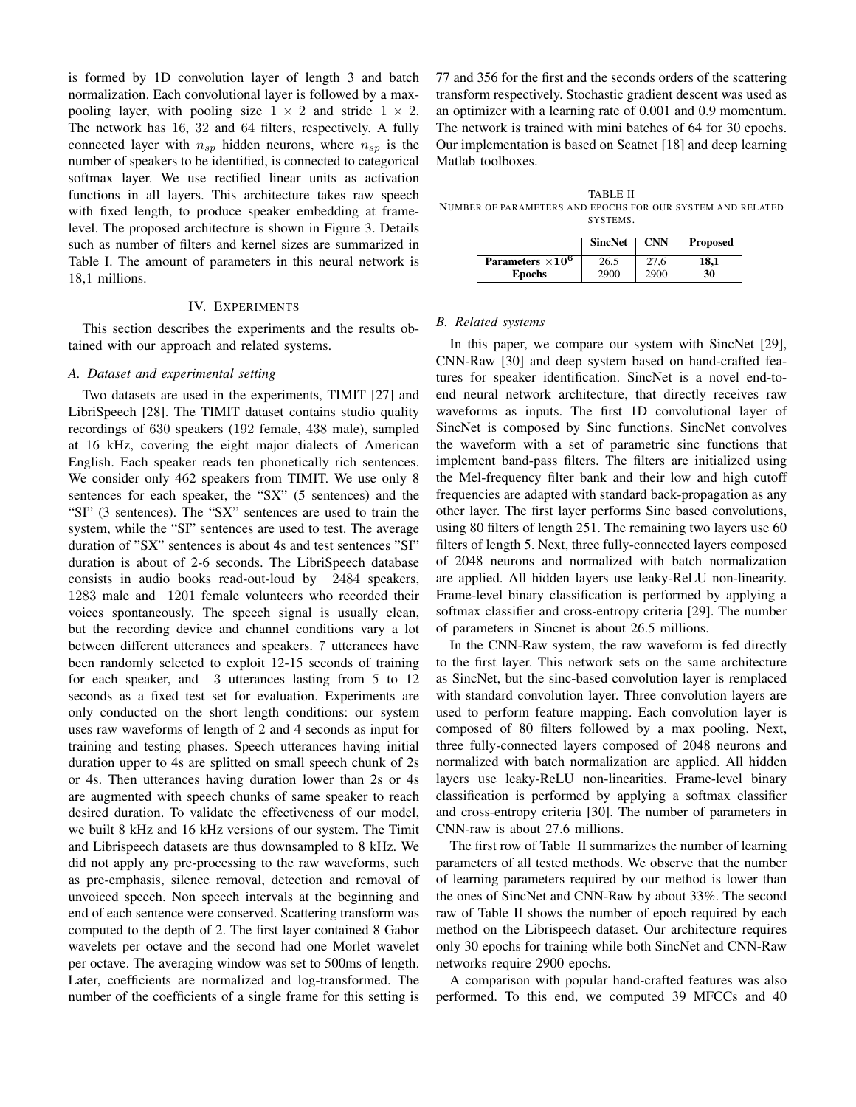is formed by 1D convolution layer of length 3 and batch normalization. Each convolutional layer is followed by a maxpooling layer, with pooling size  $1 \times 2$  and stride  $1 \times 2$ . The network has 16, 32 and 64 filters, respectively. A fully connected layer with  $n_{sp}$  hidden neurons, where  $n_{sp}$  is the number of speakers to be identified, is connected to categorical softmax layer. We use rectified linear units as activation functions in all layers. This architecture takes raw speech with fixed length, to produce speaker embedding at framelevel. The proposed architecture is shown in Figure 3. Details such as number of filters and kernel sizes are summarized in Table I. The amount of parameters in this neural network is 18,1 millions.

## IV. EXPERIMENTS

This section describes the experiments and the results obtained with our approach and related systems.

#### *A. Dataset and experimental setting*

Two datasets are used in the experiments, TIMIT [27] and LibriSpeech [28]. The TIMIT dataset contains studio quality recordings of 630 speakers (192 female, 438 male), sampled at 16 kHz, covering the eight major dialects of American English. Each speaker reads ten phonetically rich sentences. We consider only 462 speakers from TIMIT. We use only 8 sentences for each speaker, the "SX" (5 sentences) and the "SI" (3 sentences). The "SX" sentences are used to train the system, while the "SI" sentences are used to test. The average duration of "SX" sentences is about 4s and test sentences "SI" duration is about of 2-6 seconds. The LibriSpeech database consists in audio books read-out-loud by 2484 speakers, 1283 male and 1201 female volunteers who recorded their voices spontaneously. The speech signal is usually clean, but the recording device and channel conditions vary a lot between different utterances and speakers. 7 utterances have been randomly selected to exploit 12-15 seconds of training for each speaker, and 3 utterances lasting from 5 to 12 seconds as a fixed test set for evaluation. Experiments are only conducted on the short length conditions: our system uses raw waveforms of length of 2 and 4 seconds as input for training and testing phases. Speech utterances having initial duration upper to 4s are splitted on small speech chunk of 2s or 4s. Then utterances having duration lower than 2s or 4s are augmented with speech chunks of same speaker to reach desired duration. To validate the effectiveness of our model, we built 8 kHz and 16 kHz versions of our system. The Timit and Librispeech datasets are thus downsampled to 8 kHz. We did not apply any pre-processing to the raw waveforms, such as pre-emphasis, silence removal, detection and removal of unvoiced speech. Non speech intervals at the beginning and end of each sentence were conserved. Scattering transform was computed to the depth of 2. The first layer contained 8 Gabor wavelets per octave and the second had one Morlet wavelet per octave. The averaging window was set to 500ms of length. Later, coefficients are normalized and log-transformed. The number of the coefficients of a single frame for this setting is

77 and 356 for the first and the seconds orders of the scattering transform respectively. Stochastic gradient descent was used as an optimizer with a learning rate of 0.001 and 0.9 momentum. The network is trained with mini batches of 64 for 30 epochs. Our implementation is based on Scatnet [18] and deep learning Matlab toolboxes.

TABLE II NUMBER OF PARAMETERS AND EPOCHS FOR OUR SYSTEM AND RELATED SYSTEMS.

|                          | <b>SincNet</b> | <b>CNN</b> | <b>Proposed</b> |
|--------------------------|----------------|------------|-----------------|
| Parameters $\times 10^6$ | 26.5           | 27.6       | 18.1            |
| <b>Epochs</b>            | 2900           | 2900       | 30              |

## *B. Related systems*

In this paper, we compare our system with SincNet [29], CNN-Raw [30] and deep system based on hand-crafted features for speaker identification. SincNet is a novel end-toend neural network architecture, that directly receives raw waveforms as inputs. The first 1D convolutional layer of SincNet is composed by Sinc functions. SincNet convolves the waveform with a set of parametric sinc functions that implement band-pass filters. The filters are initialized using the Mel-frequency filter bank and their low and high cutoff frequencies are adapted with standard back-propagation as any other layer. The first layer performs Sinc based convolutions, using 80 filters of length 251. The remaining two layers use 60 filters of length 5. Next, three fully-connected layers composed of 2048 neurons and normalized with batch normalization are applied. All hidden layers use leaky-ReLU non-linearity. Frame-level binary classification is performed by applying a softmax classifier and cross-entropy criteria [29]. The number of parameters in Sincnet is about 26.5 millions.

In the CNN-Raw system, the raw waveform is fed directly to the first layer. This network sets on the same architecture as SincNet, but the sinc-based convolution layer is remplaced with standard convolution layer. Three convolution layers are used to perform feature mapping. Each convolution layer is composed of 80 filters followed by a max pooling. Next, three fully-connected layers composed of 2048 neurons and normalized with batch normalization are applied. All hidden layers use leaky-ReLU non-linearities. Frame-level binary classification is performed by applying a softmax classifier and cross-entropy criteria [30]. The number of parameters in CNN-raw is about 27.6 millions.

The first row of Table II summarizes the number of learning parameters of all tested methods. We observe that the number of learning parameters required by our method is lower than the ones of SincNet and CNN-Raw by about 33%. The second raw of Table II shows the number of epoch required by each method on the Librispeech dataset. Our architecture requires only 30 epochs for training while both SincNet and CNN-Raw networks require 2900 epochs.

A comparison with popular hand-crafted features was also performed. To this end, we computed 39 MFCCs and 40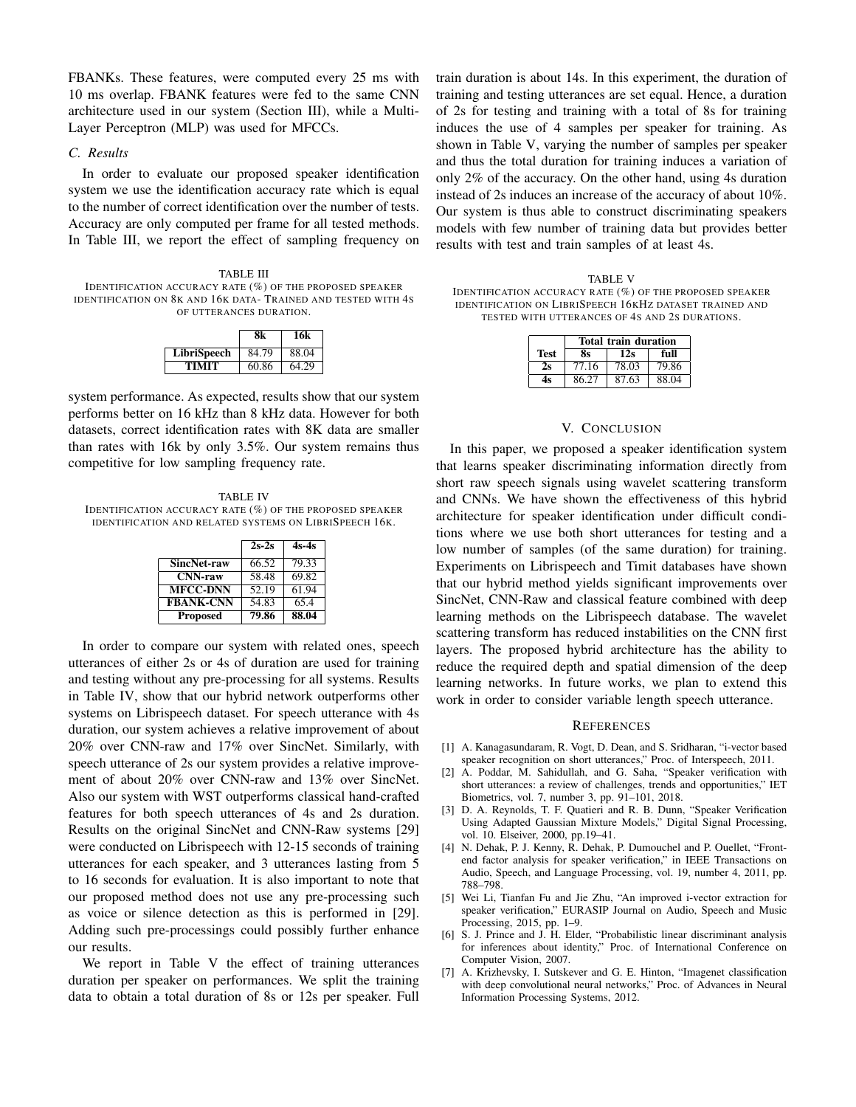FBANKs. These features, were computed every 25 ms with 10 ms overlap. FBANK features were fed to the same CNN architecture used in our system (Section III), while a Multi-Layer Perceptron (MLP) was used for MFCCs.

## *C. Results*

In order to evaluate our proposed speaker identification system we use the identification accuracy rate which is equal to the number of correct identification over the number of tests. Accuracy are only computed per frame for all tested methods. In Table III, we report the effect of sampling frequency on

TABLE III IDENTIFICATION ACCURACY RATE (%) OF THE PROPOSED SPEAKER IDENTIFICATION ON 8K AND 16K DATA- TRAINED AND TESTED WITH 4S OF UTTERANCES DURATION.

|             |       | 16k   |
|-------------|-------|-------|
| LibriSpeech | 84.79 | 88.04 |
| TIMIT       | 60.86 | 64.29 |

system performance. As expected, results show that our system performs better on 16 kHz than 8 kHz data. However for both datasets, correct identification rates with 8K data are smaller than rates with 16k by only 3.5%. Our system remains thus competitive for low sampling frequency rate.

TABLE IV IDENTIFICATION ACCURACY RATE (%) OF THE PROPOSED SPEAKER IDENTIFICATION AND RELATED SYSTEMS ON LIBRISPEECH 16K.

|                  | $2s-2s$ | $4s-4s$ |
|------------------|---------|---------|
| SincNet-raw      | 66.52   | 79.33   |
| <b>CNN-raw</b>   | 58.48   | 69.82   |
| <b>MFCC-DNN</b>  | 52.19   | 61.94   |
| <b>FBANK-CNN</b> | 54.83   | 65.4    |
| <b>Proposed</b>  | 79.86   | 88.04   |

In order to compare our system with related ones, speech utterances of either 2s or 4s of duration are used for training and testing without any pre-processing for all systems. Results in Table IV, show that our hybrid network outperforms other systems on Librispeech dataset. For speech utterance with 4s duration, our system achieves a relative improvement of about 20% over CNN-raw and 17% over SincNet. Similarly, with speech utterance of 2s our system provides a relative improvement of about 20% over CNN-raw and 13% over SincNet. Also our system with WST outperforms classical hand-crafted features for both speech utterances of 4s and 2s duration. Results on the original SincNet and CNN-Raw systems [29] were conducted on Librispeech with 12-15 seconds of training utterances for each speaker, and 3 utterances lasting from 5 to 16 seconds for evaluation. It is also important to note that our proposed method does not use any pre-processing such as voice or silence detection as this is performed in [29]. Adding such pre-processings could possibly further enhance our results.

We report in Table V the effect of training utterances duration per speaker on performances. We split the training data to obtain a total duration of 8s or 12s per speaker. Full train duration is about 14s. In this experiment, the duration of training and testing utterances are set equal. Hence, a duration of 2s for testing and training with a total of 8s for training induces the use of 4 samples per speaker for training. As shown in Table V, varying the number of samples per speaker and thus the total duration for training induces a variation of only 2% of the accuracy. On the other hand, using 4s duration instead of 2s induces an increase of the accuracy of about 10%. Our system is thus able to construct discriminating speakers models with few number of training data but provides better results with test and train samples of at least 4s.

TABLE V IDENTIFICATION ACCURACY RATE (%) OF THE PROPOSED SPEAKER IDENTIFICATION ON LIBRISPEECH 16KHZ DATASET TRAINED AND TESTED WITH UTTERANCES OF 4S AND 2S DURATIONS.

|             | Total train duration |       |       |
|-------------|----------------------|-------|-------|
| <b>Test</b> | 8s                   | 12s   | full  |
| 2s          | 77.16                | 78.03 | 79.86 |
| 4с          | 86.27                | 87.63 | 88.04 |

#### V. CONCLUSION

In this paper, we proposed a speaker identification system that learns speaker discriminating information directly from short raw speech signals using wavelet scattering transform and CNNs. We have shown the effectiveness of this hybrid architecture for speaker identification under difficult conditions where we use both short utterances for testing and a low number of samples (of the same duration) for training. Experiments on Librispeech and Timit databases have shown that our hybrid method yields significant improvements over SincNet, CNN-Raw and classical feature combined with deep learning methods on the Librispeech database. The wavelet scattering transform has reduced instabilities on the CNN first layers. The proposed hybrid architecture has the ability to reduce the required depth and spatial dimension of the deep learning networks. In future works, we plan to extend this work in order to consider variable length speech utterance.

#### **REFERENCES**

- [1] A. Kanagasundaram, R. Vogt, D. Dean, and S. Sridharan, "i-vector based speaker recognition on short utterances," Proc. of Interspeech, 2011.
- [2] A. Poddar, M. Sahidullah, and G. Saha, "Speaker verification with short utterances: a review of challenges, trends and opportunities," IET Biometrics, vol. 7, number 3, pp. 91–101, 2018.
- [3] D. A. Reynolds, T. F. Quatieri and R. B. Dunn, "Speaker Verification Using Adapted Gaussian Mixture Models," Digital Signal Processing, vol. 10. Elseiver, 2000, pp.19–41.
- [4] N. Dehak, P. J. Kenny, R. Dehak, P. Dumouchel and P. Ouellet, "Frontend factor analysis for speaker verification," in IEEE Transactions on Audio, Speech, and Language Processing, vol. 19, number 4, 2011, pp. 788–798.
- [5] Wei Li, Tianfan Fu and Jie Zhu, "An improved i-vector extraction for speaker verification," EURASIP Journal on Audio, Speech and Music Processing, 2015, pp. 1–9.
- [6] S. J. Prince and J. H. Elder, "Probabilistic linear discriminant analysis for inferences about identity," Proc. of International Conference on Computer Vision, 2007.
- [7] A. Krizhevsky, I. Sutskever and G. E. Hinton, "Imagenet classification with deep convolutional neural networks," Proc. of Advances in Neural Information Processing Systems, 2012.